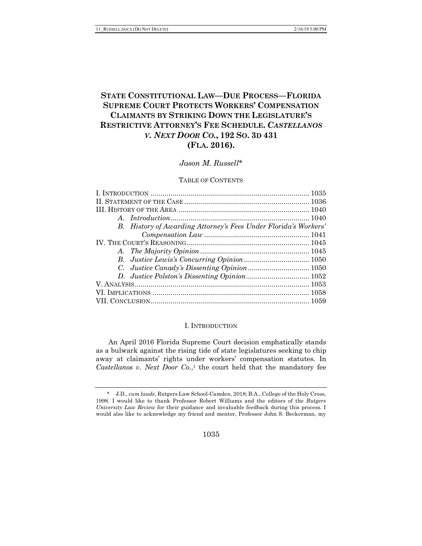# **STATE CONSTITUTIONAL LAW—DUE PROCESS—FLORIDA SUPREME COURT PROTECTS WORKERS' COMPENSATION CLAIMANTS BY STRIKING DOWN THE LEGISLATURE'S RESTRICTIVE ATTORNEY'S FEE SCHEDULE.** *CASTELLANOS V. NEXT DOOR CO.***, 192 SO. 3D 431 (FLA. 2016).**

# *Jason M. Russell*\*

#### TABLE OF CONTENTS

| B. History of Awarding Attorney's Fees Under Florida's Workers' |  |
|-----------------------------------------------------------------|--|
| $Comparison \, Law \, 1041$                                     |  |
|                                                                 |  |
|                                                                 |  |
|                                                                 |  |
|                                                                 |  |
|                                                                 |  |
|                                                                 |  |
|                                                                 |  |
|                                                                 |  |

#### I. INTRODUCTION

An April 2016 Florida Supreme Court decision emphatically stands as a bulwark against the rising tide of state legislatures seeking to chip away at claimants' rights under workers' compensation statutes. In *Castellanos v. Next Door Co.*,<sup>1</sup> the court held that the mandatory fee

1035

<sup>\*</sup> J.D., *cum laude*, Rutgers Law School-Camden, 2018; B.A., College of the Holy Cross, 1998. I would like to thank Professor Robert Williams and the editors of the *Rutgers University Law Review* for their guidance and invaluable feedback during this process. I would also like to acknowledge my friend and mentor, Professor John S. Beckerman, my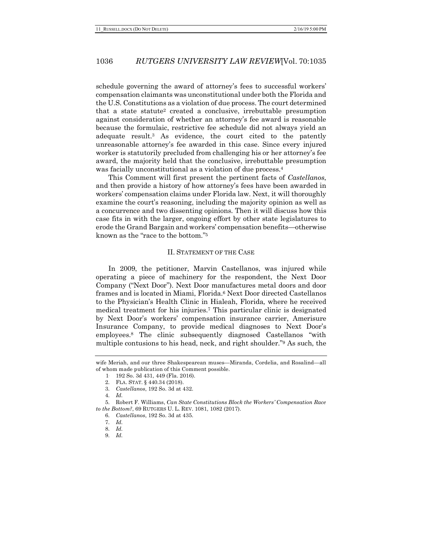schedule governing the award of attorney's fees to successful workers' compensation claimants was unconstitutional under both the Florida and the U.S. Constitutions as a violation of due process. The court determined that a state statute2 created a conclusive, irrebuttable presumption against consideration of whether an attorney's fee award is reasonable because the formulaic, restrictive fee schedule did not always yield an adequate result.3 As evidence, the court cited to the patently unreasonable attorney's fee awarded in this case. Since every injured worker is statutorily precluded from challenging his or her attorney's fee award, the majority held that the conclusive, irrebuttable presumption was facially unconstitutional as a violation of due process.<sup>4</sup>

This Comment will first present the pertinent facts of *Castellanos*, and then provide a history of how attorney's fees have been awarded in workers' compensation claims under Florida law. Next, it will thoroughly examine the court's reasoning, including the majority opinion as well as a concurrence and two dissenting opinions. Then it will discuss how this case fits in with the larger, ongoing effort by other state legislatures to erode the Grand Bargain and workers' compensation benefits—otherwise known as the "race to the bottom."5

#### II. STATEMENT OF THE CASE

In 2009, the petitioner, Marvin Castellanos, was injured while operating a piece of machinery for the respondent, the Next Door Company ("Next Door"). Next Door manufactures metal doors and door frames and is located in Miami, Florida.6 Next Door directed Castellanos to the Physician's Health Clinic in Hialeah, Florida, where he received medical treatment for his injuries.7 This particular clinic is designated by Next Door's workers' compensation insurance carrier, Amerisure Insurance Company, to provide medical diagnoses to Next Door's employees.8 The clinic subsequently diagnosed Castellanos "with multiple contusions to his head, neck, and right shoulder."9 As such, the

wife Meriah, and our three Shakespearean muses—Miranda, Cordelia, and Rosalind—all of whom made publication of this Comment possible.

<sup>1.</sup> 192 So. 3d 431, 449 (Fla. 2016).

<sup>2.</sup> FLA. STAT. § 440.34 (2018).

<sup>3.</sup> *Castellanos*, 192 So. 3d at 432.

<sup>4.</sup> *Id.*

<sup>5.</sup> Robert F. Williams, *Can State Constitutions Block the Workers' Compensation Race to the Bottom?*, 69 RUTGERS U. L. REV. 1081, 1082 (2017).

<sup>6.</sup> *Castellanos*, 192 So. 3d at 435.

<sup>7.</sup> *Id.*

<sup>8.</sup> *Id.*

<sup>9.</sup> *Id.*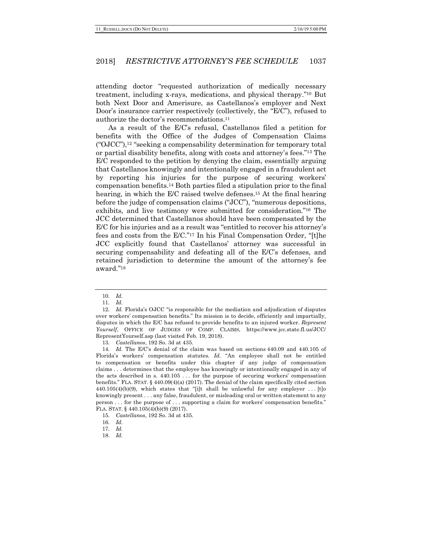attending doctor "requested authorization of medically necessary treatment, including x-rays, medications, and physical therapy."10 But both Next Door and Amerisure, as Castellanos's employer and Next Door's insurance carrier respectively (collectively, the "E/C"), refused to authorize the doctor's recommendations.11

As a result of the E/C's refusal, Castellanos filed a petition for benefits with the Office of the Judges of Compensation Claims ("OJCC"),12 "seeking a compensability determination for temporary total or partial disability benefits, along with costs and attorney's fees."13 The E/C responded to the petition by denying the claim, essentially arguing that Castellanos knowingly and intentionally engaged in a fraudulent act by reporting his injuries for the purpose of securing workers' compensation benefits.14 Both parties filed a stipulation prior to the final hearing, in which the E/C raised twelve defenses.15 At the final hearing before the judge of compensation claims ("JCC"), "numerous depositions, exhibits, and live testimony were submitted for consideration."16 The JCC determined that Castellanos should have been compensated by the E/C for his injuries and as a result was "entitled to recover his attorney's fees and costs from the E/C."17 In his Final Compensation Order, "[t]he JCC explicitly found that Castellanos' attorney was successful in securing compensability and defeating all of the E/C's defenses, and retained jurisdiction to determine the amount of the attorney's fee award."18

13. *Castellanos*, 192 So. 3d at 435.

<sup>10.</sup> *Id.*

<sup>11.</sup> *Id.*

<sup>12.</sup> *Id.* Florida's OJCC "is responsible for the mediation and adjudication of disputes over workers' compensation benefits." Its mission is to decide, efficiently and impartially, disputes in which the E/C has refused to provide benefits to an injured worker. *Represent Yourself*, OFFICE OF JUDGES OF COMP. CLAIMS, https://www.jcc.state.fl.us/JCC/ RepresentYourself.asp (last visited Feb. 19, 2018).

<sup>14.</sup> *Id.* The E/C's denial of the claim was based on sections 440.09 and 440.105 of Florida's workers' compensation statutes. *Id.* "An employee shall not be entitled to compensation or benefits under this chapter if any judge of compensation claims . . . determines that the employee has knowingly or intentionally engaged in any of the acts described in s. 440.105 . . . for the purpose of securing workers' compensation benefits." FLA. STAT.  $\S$  440.09(4)(a) (2017). The denial of the claim specifically cited section  $440.105(4)(b)(9)$ , which states that "[i]t shall be unlawful for any employer ... [t]o knowingly present . . . any false, fraudulent, or misleading oral or written statement to any person . . . for the purpose of . . . supporting a claim for workers' compensation benefits." FLA. STAT. § 440.105(4)(b)(9) (2017).

<sup>15.</sup> *Castellanos*, 192 So. 3d at 435.

<sup>16.</sup> *Id.*

<sup>17.</sup> *Id.*

<sup>18.</sup> *Id.*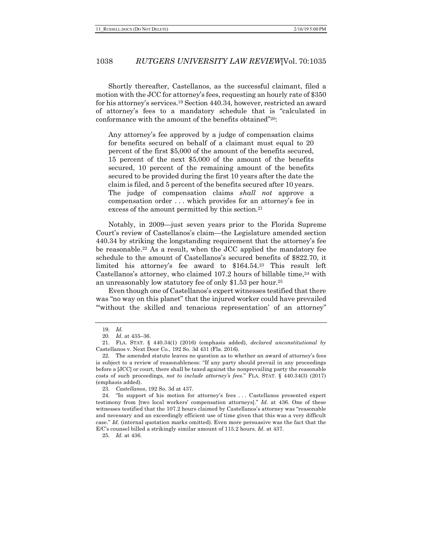Shortly thereafter, Castellanos, as the successful claimant, filed a motion with the JCC for attorney's fees, requesting an hourly rate of \$350 for his attorney's services.19 Section 440.34, however, restricted an award of attorney's fees to a mandatory schedule that is "calculated in conformance with the amount of the benefits obtained"20:

Any attorney's fee approved by a judge of compensation claims for benefits secured on behalf of a claimant must equal to 20 percent of the first \$5,000 of the amount of the benefits secured, 15 percent of the next \$5,000 of the amount of the benefits secured, 10 percent of the remaining amount of the benefits secured to be provided during the first 10 years after the date the claim is filed, and 5 percent of the benefits secured after 10 years. The judge of compensation claims *shall not* approve a compensation order . . . which provides for an attorney's fee in excess of the amount permitted by this section.<sup>21</sup>

Notably, in 2009—just seven years prior to the Florida Supreme Court's review of Castellanos's claim—the Legislature amended section 440.34 by striking the longstanding requirement that the attorney's fee be reasonable.22 As a result, when the JCC applied the mandatory fee schedule to the amount of Castellanos's secured benefits of \$822.70, it limited his attorney's fee award to \$164.54.23 This result left Castellanos's attorney, who claimed 107.2 hours of billable time, $24$  with an unreasonably low statutory fee of only \$1.53 per hour.25

Even though one of Castellanos's expert witnesses testified that there was "no way on this planet" that the injured worker could have prevailed "without the skilled and tenacious representation' of an attorney"

25. *Id.* at 436.

<sup>19.</sup> *Id.*

<sup>20.</sup> *Id.* at 435–36.

<sup>21.</sup> FLA. STAT. § 440.34(1) (2016) (emphasis added), *declared unconstitutional by* Castellanos v. Next Door Co*.*, 192 So. 3d 431 (Fla. 2016).

<sup>22.</sup> The amended statute leaves no question as to whether an award of attorney's fees is subject to a review of reasonableness: "If any party should prevail in any proceedings before a [JCC] or court, there shall be taxed against the nonprevailing party the reasonable costs of such proceedings, *not to include attorney's fees*." FLA. STAT. § 440.34(3) (2017) (emphasis added).

<sup>23.</sup> *Castellanos*, 192 So. 3d at 437.

<sup>24.</sup> "In support of his motion for attorney's fees . . . Castellanos presented expert testimony from [two local workers' compensation attorneys]." *Id.* at 436. One of these witnesses testified that the 107.2 hours claimed by Castellanos's attorney was "reasonable and necessary and an exceedingly efficient use of time given that this was a very difficult case." *Id.* (internal quotation marks omitted). Even more persuasive was the fact that the E/C's counsel billed a strikingly similar amount of 115.2 hours. *Id.* at 437.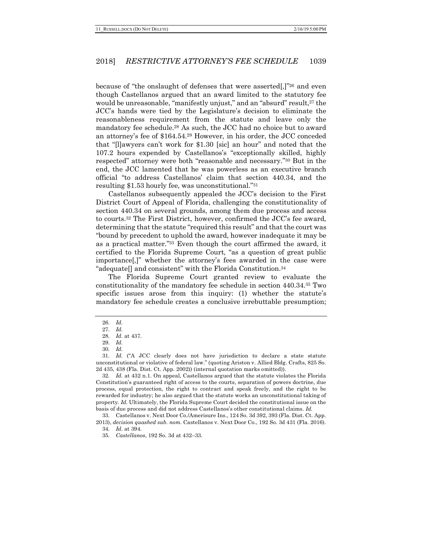because of "the onslaught of defenses that were asserted[,]"26 and even though Castellanos argued that an award limited to the statutory fee would be unreasonable, "manifestly unjust," and an "absurd" result,<sup>27</sup> the JCC's hands were tied by the Legislature's decision to eliminate the reasonableness requirement from the statute and leave only the mandatory fee schedule.28 As such, the JCC had no choice but to award an attorney's fee of \$164.54.29 However, in his order, the JCC conceded that "[l]awyers can't work for \$1.30 [sic] an hour" and noted that the 107.2 hours expended by Castellanos's "exceptionally skilled, highly respected" attorney were both "reasonable and necessary."30 But in the end, the JCC lamented that he was powerless as an executive branch official "to address Castellanos' claim that section 440.34, and the resulting \$1.53 hourly fee, was unconstitutional."31

Castellanos subsequently appealed the JCC's decision to the First District Court of Appeal of Florida, challenging the constitutionality of section 440.34 on several grounds, among them due process and access to courts.32 The First District, however, confirmed the JCC's fee award, determining that the statute "required this result" and that the court was "bound by precedent to uphold the award, however inadequate it may be as a practical matter."33 Even though the court affirmed the award, it certified to the Florida Supreme Court, "as a question of great public importance[,]" whether the attorney's fees awarded in the case were "adequate[] and consistent" with the Florida Constitution.34

The Florida Supreme Court granted review to evaluate the constitutionality of the mandatory fee schedule in section 440.34.35 Two specific issues arose from this inquiry: (1) whether the statute's mandatory fee schedule creates a conclusive irrebuttable presumption;

32. *Id.* at 432 n.1. On appeal, Castellanos argued that the statute violates the Florida Constitution's guaranteed right of access to the courts, separation of powers doctrine, due process, equal protection, the right to contract and speak freely, and the right to be rewarded for industry; he also argued that the statute works an unconstitutional taking of property. *Id.* Ultimately, the Florida Supreme Court decided the constitutional issue on the basis of due process and did not address Castellanos's other constitutional claims. *Id.*

33. Castellanos v. Next Door Co./Amerisure Ins., 124 So. 3d 392, 393 (Fla. Dist. Ct. App. 2013), *decision quashed sub. nom.* Castellanos v. Next Door Co., 192 So. 3d 431 (Fla. 2016).

<sup>26.</sup> *Id.*

<sup>27.</sup> *Id.*

<sup>28.</sup> *Id.* at 437. 29. *Id.*

<sup>30.</sup> *Id.*

<sup>31.</sup> *Id.* ("A JCC clearly does not have jurisdiction to declare a state statute unconstitutional or violative of federal law." (quoting Ariston v. Allied Bldg. Crafts, 825 So. 2d 435, 438 (Fla. Dist. Ct. App. 2002)) (internal quotation marks omitted)).

<sup>34.</sup> *Id.* at 394.

<sup>35.</sup> *Castellanos*, 192 So. 3d at 432–33.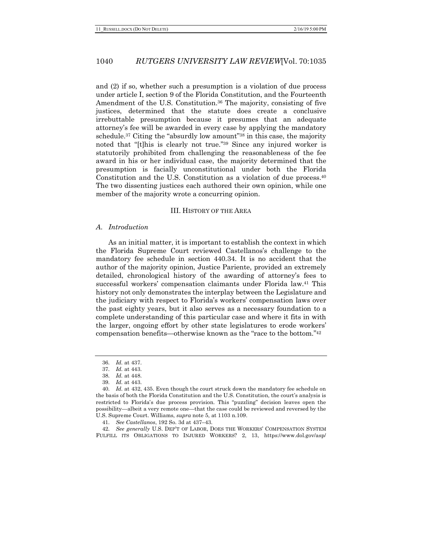and (2) if so, whether such a presumption is a violation of due process under article I, section 9 of the Florida Constitution, and the Fourteenth Amendment of the U.S. Constitution.<sup>36</sup> The majority, consisting of five justices, determined that the statute does create a conclusive irrebuttable presumption because it presumes that an adequate attorney's fee will be awarded in every case by applying the mandatory schedule.<sup>37</sup> Citing the "absurdly low amount"<sup>38</sup> in this case, the majority noted that "[t]his is clearly not true."39 Since any injured worker is statutorily prohibited from challenging the reasonableness of the fee award in his or her individual case, the majority determined that the presumption is facially unconstitutional under both the Florida Constitution and the U.S. Constitution as a violation of due process.40 The two dissenting justices each authored their own opinion, while one member of the majority wrote a concurring opinion.

#### III. HISTORY OF THE AREA

#### *A. Introduction*

As an initial matter, it is important to establish the context in which the Florida Supreme Court reviewed Castellanos's challenge to the mandatory fee schedule in section 440.34. It is no accident that the author of the majority opinion, Justice Pariente, provided an extremely detailed, chronological history of the awarding of attorney's fees to successful workers' compensation claimants under Florida law.41 This history not only demonstrates the interplay between the Legislature and the judiciary with respect to Florida's workers' compensation laws over the past eighty years, but it also serves as a necessary foundation to a complete understanding of this particular case and where it fits in with the larger, ongoing effort by other state legislatures to erode workers' compensation benefits—otherwise known as the "race to the bottom."42

41. *See Castellanos*, 192 So. 3d at 437–43.

42. *See generally* U.S. DEP'T OF LABOR, DOES THE WORKERS' COMPENSATION SYSTEM FULFILL ITS OBLIGATIONS TO INJURED WORKERS? 2, 13, https://www.dol.gov/asp/

<sup>36.</sup> *Id.* at 437.

<sup>37.</sup> *Id.* at 443.

<sup>38.</sup> *Id.* at 448.

<sup>39.</sup> *Id.* at 443.

<sup>40.</sup> *Id.* at 432, 435. Even though the court struck down the mandatory fee schedule on the basis of both the Florida Constitution and the U.S. Constitution, the court's analysis is restricted to Florida's due process provision. This "puzzling" decision leaves open the possibility—albeit a very remote one—that the case could be reviewed and reversed by the U.S. Supreme Court. Williams, *supra* note 5, at 1103 n.109.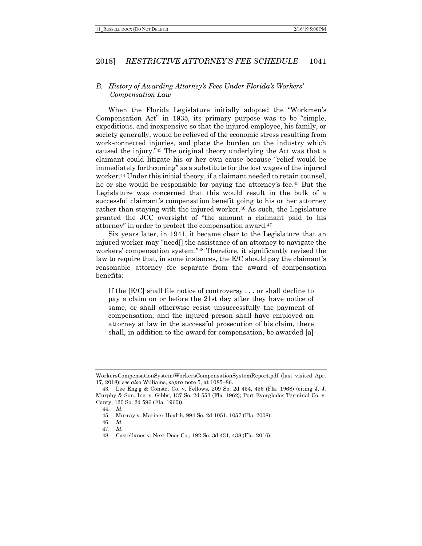### *B. History of Awarding Attorney's Fees Under Florida's Workers' Compensation Law*

When the Florida Legislature initially adopted the "Workmen's Compensation Act" in 1935, its primary purpose was to be "simple, expeditious, and inexpensive so that the injured employee, his family, or society generally, would be relieved of the economic stress resulting from work-connected injuries, and place the burden on the industry which caused the injury."43 The original theory underlying the Act was that a claimant could litigate his or her own cause because "relief would be immediately forthcoming" as a substitute for the lost wages of the injured worker.44 Under this initial theory, if a claimant needed to retain counsel, he or she would be responsible for paying the attorney's fee.45 But the Legislature was concerned that this would result in the bulk of a successful claimant's compensation benefit going to his or her attorney rather than staying with the injured worker.<sup>46</sup> As such, the Legislature granted the JCC oversight of "the amount a claimant paid to his attorney" in order to protect the compensation award.47

Six years later, in 1941, it became clear to the Legislature that an injured worker may "need[] the assistance of an attorney to navigate the workers' compensation system."48 Therefore, it significantly revised the law to require that, in some instances, the E/C should pay the claimant's reasonable attorney fee separate from the award of compensation benefits:

If the [E/C] shall file notice of controversy . . . or shall decline to pay a claim on or before the 21st day after they have notice of same, or shall otherwise resist unsuccessfully the payment of compensation, and the injured person shall have employed an attorney at law in the successful prosecution of his claim, there shall, in addition to the award for compensation, be awarded [a]

WorkersCompensationSystem/WorkersCompensationSystemReport.pdf (last visited Apr. 17, 2018); *see also* Williams, *supra* note 5, at 1085–86.

<sup>43.</sup> Lee Eng'g & Constr. Co. v. Fellows, 209 So. 2d 454, 456 (Fla. 1968) (citing J. J. Murphy & Son, Inc. v. Gibbs, 137 So. 2d 553 (Fla. 1962); Port Everglades Terminal Co. v. Canty, 120 So. 2d 596 (Fla. 1960)).

<sup>44.</sup> *Id.*

<sup>45.</sup> Murray v. Mariner Health, 994 So. 2d 1051, 1057 (Fla. 2008).

<sup>46.</sup> *Id.*

<sup>47.</sup> *Id.*

<sup>48.</sup> Castellanos v. Next Door Co., 192 So. 3d 431, 438 (Fla. 2016).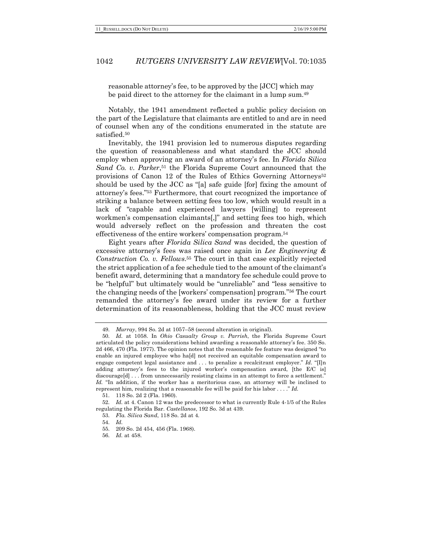reasonable attorney's fee, to be approved by the [JCC] which may be paid direct to the attorney for the claimant in a lump sum.49

Notably, the 1941 amendment reflected a public policy decision on the part of the Legislature that claimants are entitled to and are in need of counsel when any of the conditions enumerated in the statute are satisfied.50

Inevitably, the 1941 provision led to numerous disputes regarding the question of reasonableness and what standard the JCC should employ when approving an award of an attorney's fee. In *Florida Silica Sand Co. v. Parker*,51 the Florida Supreme Court announced that the provisions of Canon 12 of the Rules of Ethics Governing Attorneys<sup>52</sup> should be used by the JCC as "[a] safe guide [for] fixing the amount of attorney's fees."53 Furthermore, that court recognized the importance of striking a balance between setting fees too low, which would result in a lack of "capable and experienced lawyers [willing] to represent workmen's compensation claimants[,]" and setting fees too high, which would adversely reflect on the profession and threaten the cost effectiveness of the entire workers' compensation program.54

Eight years after *Florida Silica Sand* was decided, the question of excessive attorney's fees was raised once again in *Lee Engineering & Construction Co. v. Fellows*.55 The court in that case explicitly rejected the strict application of a fee schedule tied to the amount of the claimant's benefit award, determining that a mandatory fee schedule could prove to be "helpful" but ultimately would be "unreliable" and "less sensitive to the changing needs of the [workers' compensation] program."56 The court remanded the attorney's fee award under its review for a further determination of its reasonableness, holding that the JCC must review

<sup>49.</sup> *Murray*, 994 So. 2d at 1057–58 (second alteration in original).

<sup>50.</sup> *Id.* at 1058. In *Ohio Casualty Group v. Parrish*, the Florida Supreme Court articulated the policy considerations behind awarding a reasonable attorney's fee. 350 So. 2d 466, 470 (Fla. 1977). The opinion notes that the reasonable fee feature was designed "to enable an injured employee who ha[d] not received an equitable compensation award to engage competent legal assistance and . . . to penalize a recalcitrant employer." *Id.* "[I]n adding attorney's fees to the injured worker's compensation award, [the E/C is] discourage[d] . . . from unnecessarily resisting claims in an attempt to force a settlement." Id. "In addition, if the worker has a meritorious case, an attorney will be inclined to represent him, realizing that a reasonable fee will be paid for his labor . . . ." *Id.*

<sup>51.</sup> 118 So. 2d 2 (Fla. 1960).

<sup>52.</sup> *Id.* at 4. Canon 12 was the predecessor to what is currently Rule 4-1/5 of the Rules regulating the Florida Bar. *Castellanos*, 192 So. 3d at 439.

<sup>53.</sup> *Fla. Silica Sand*, 118 So. 2d at 4.

<sup>54.</sup> *Id.*

<sup>55.</sup> 209 So. 2d 454, 456 (Fla. 1968).

<sup>56.</sup> *Id.* at 458.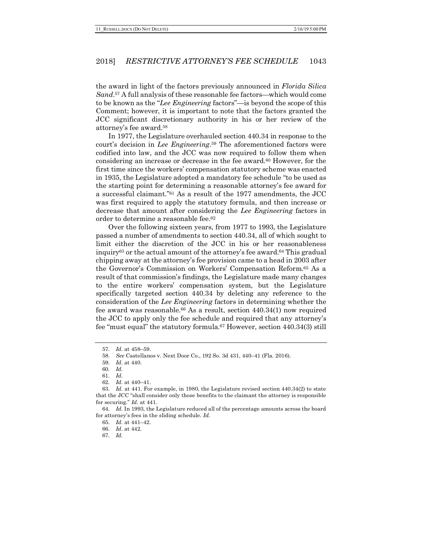the award in light of the factors previously announced in *Florida Silica Sand*.57 A full analysis of these reasonable fee factors—which would come to be known as the "*Lee Engineering* factors"—is beyond the scope of this Comment; however, it is important to note that the factors granted the JCC significant discretionary authority in his or her review of the attorney's fee award.58

In 1977, the Legislature overhauled section 440.34 in response to the court's decision in *Lee Engineering*.59 The aforementioned factors were codified into law, and the JCC was now required to follow them when considering an increase or decrease in the fee award.60 However, for the first time since the workers' compensation statutory scheme was enacted in 1935, the Legislature adopted a mandatory fee schedule "to be used as the starting point for determining a reasonable attorney's fee award for a successful claimant."61 As a result of the 1977 amendments, the JCC was first required to apply the statutory formula, and then increase or decrease that amount after considering the *Lee Engineering* factors in order to determine a reasonable fee.62

Over the following sixteen years, from 1977 to 1993, the Legislature passed a number of amendments to section 440.34, all of which sought to limit either the discretion of the JCC in his or her reasonableness inquiry63 or the actual amount of the attorney's fee award.64 This gradual chipping away at the attorney's fee provision came to a head in 2003 after the Governor's Commission on Workers' Compensation Reform.65 As a result of that commission's findings, the Legislature made many changes to the entire workers' compensation system, but the Legislature specifically targeted section 440.34 by deleting any reference to the consideration of the *Lee Engineering* factors in determining whether the fee award was reasonable.66 As a result, section 440.34(1) now required the JCC to apply only the fee schedule and required that any attorney's fee "must equal" the statutory formula.67 However, section 440.34(3) still

<sup>57.</sup> *Id.* at 458–59.

<sup>58.</sup> *See* Castellanos v. Next Door Co., 192 So. 3d 431, 440–41 (Fla. 2016).

<sup>59.</sup> *Id.* at 440.

<sup>60.</sup> *Id.*

<sup>61.</sup> *Id.*

<sup>62.</sup> *Id.* at 440–41.

<sup>63.</sup> *Id.* at 441. For example, in 1980, the Legislature revised section 440.34(2) to state that the JCC "shall consider only those benefits to the claimant the attorney is responsible for securing." *Id.* at 441.

<sup>64.</sup> *Id.* In 1993, the Legislature reduced all of the percentage amounts across the board for attorney's fees in the sliding schedule. *Id.*

<sup>65.</sup> *Id.* at 441–42.

<sup>66.</sup> *Id.* at 442.

<sup>67.</sup> *Id.*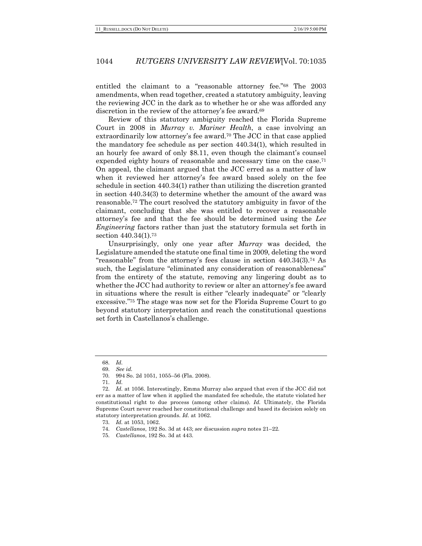entitled the claimant to a "reasonable attorney fee."68 The 2003 amendments, when read together, created a statutory ambiguity, leaving the reviewing JCC in the dark as to whether he or she was afforded any discretion in the review of the attorney's fee award.<sup>69</sup>

Review of this statutory ambiguity reached the Florida Supreme Court in 2008 in *Murray v. Mariner Health*, a case involving an extraordinarily low attorney's fee award.70 The JCC in that case applied the mandatory fee schedule as per section 440.34(1), which resulted in an hourly fee award of only \$8.11, even though the claimant's counsel expended eighty hours of reasonable and necessary time on the case.<sup>71</sup> On appeal, the claimant argued that the JCC erred as a matter of law when it reviewed her attorney's fee award based solely on the fee schedule in section 440.34(1) rather than utilizing the discretion granted in section 440.34(3) to determine whether the amount of the award was reasonable.72 The court resolved the statutory ambiguity in favor of the claimant, concluding that she was entitled to recover a reasonable attorney's fee and that the fee should be determined using the *Lee Engineering* factors rather than just the statutory formula set forth in section 440.34(1).73

Unsurprisingly, only one year after *Murray* was decided, the Legislature amended the statute one final time in 2009, deleting the word "reasonable" from the attorney's fees clause in section 440.34(3).74 As such, the Legislature "eliminated any consideration of reasonableness" from the entirety of the statute, removing any lingering doubt as to whether the JCC had authority to review or alter an attorney's fee award in situations where the result is either "clearly inadequate" or "clearly excessive."75 The stage was now set for the Florida Supreme Court to go beyond statutory interpretation and reach the constitutional questions set forth in Castellanos's challenge.

<sup>68.</sup> *Id.*

<sup>69.</sup> *See id.*

<sup>70.</sup> 994 So. 2d 1051, 1055–56 (Fla. 2008).

<sup>71.</sup> *Id.*

<sup>72.</sup> *Id.* at 1056. Interestingly, Emma Murray also argued that even if the JCC did not err as a matter of law when it applied the mandated fee schedule, the statute violated her constitutional right to due process (among other claims). *Id.* Ultimately, the Florida Supreme Court never reached her constitutional challenge and based its decision solely on statutory interpretation grounds. *Id.* at 1062.

<sup>73.</sup> *Id.* at 1053, 1062.

<sup>74.</sup> *Castellanos*, 192 So. 3d at 443; *see* discussion *supra* notes 21–22.

<sup>75.</sup> *Castellanos*, 192 So. 3d at 443.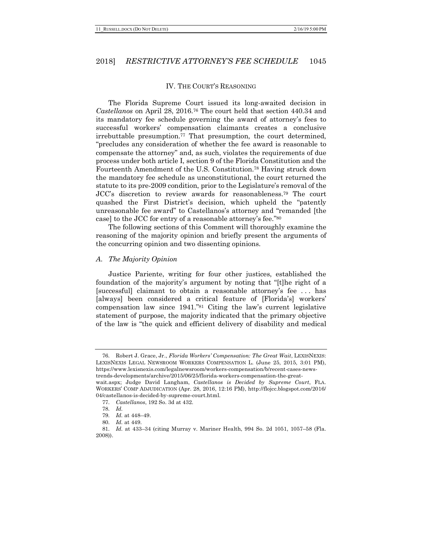#### IV. THE COURT'S REASONING

The Florida Supreme Court issued its long-awaited decision in *Castellanos* on April 28, 2016.76 The court held that section 440.34 and its mandatory fee schedule governing the award of attorney's fees to successful workers' compensation claimants creates a conclusive irrebuttable presumption.<sup>77</sup> That presumption, the court determined, "precludes any consideration of whether the fee award is reasonable to compensate the attorney" and, as such, violates the requirements of due process under both article I, section 9 of the Florida Constitution and the Fourteenth Amendment of the U.S. Constitution.78 Having struck down the mandatory fee schedule as unconstitutional, the court returned the statute to its pre-2009 condition, prior to the Legislature's removal of the JCC's discretion to review awards for reasonableness.79 The court quashed the First District's decision, which upheld the "patently unreasonable fee award" to Castellanos's attorney and "remanded [the case] to the JCC for entry of a reasonable attorney's fee."80

The following sections of this Comment will thoroughly examine the reasoning of the majority opinion and briefly present the arguments of the concurring opinion and two dissenting opinions.

#### *A. The Majority Opinion*

Justice Pariente, writing for four other justices, established the foundation of the majority's argument by noting that "[t]he right of a [successful] claimant to obtain a reasonable attorney's fee . . . has [always] been considered a critical feature of [Florida's] workers' compensation law since 1941."81 Citing the law's current legislative statement of purpose, the majority indicated that the primary objective of the law is "the quick and efficient delivery of disability and medical

<sup>76.</sup> Robert J. Grace, Jr., *Florida Workers' Compensation: The Great Wait*, LEXISNEXIS: LEXISNEXIS LEGAL NEWSROOM WORKERS COMPENSATION L. (June 25, 2015, 3:01 PM), https://www.lexisnexis.com/legalnewsroom/workers-compensation/b/recent-cases-newstrends-developments/archive/2015/06/25/florida-workers-compensation-the-great-

wait.aspx; Judge David Langham, *Castellanos is Decided by Supreme Court*, FLA. WORKERS' COMP ADJUDICATION (Apr. 28, 2016, 12:16 PM), http://flojcc.blogspot.com/2016/ 04/castellanos-is-decided-by-supreme-court.html.

<sup>77.</sup> *Castellanos*, 192 So. 3d at 432.

<sup>78.</sup> *Id.*

<sup>79.</sup> *Id.* at 448–49.

<sup>80.</sup> *Id.* at 449.

<sup>81.</sup> *Id.* at 433–34 (citing Murray v. Mariner Health, 994 So. 2d 1051, 1057–58 (Fla. 2008)).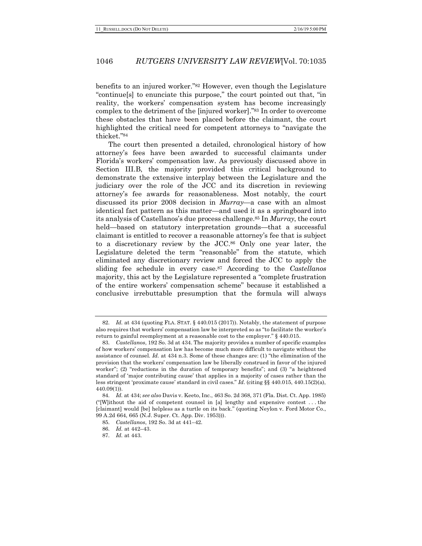benefits to an injured worker."82 However, even though the Legislature "continue[s] to enunciate this purpose," the court pointed out that, "in reality, the workers' compensation system has become increasingly complex to the detriment of the [injured worker]."83 In order to overcome these obstacles that have been placed before the claimant, the court highlighted the critical need for competent attorneys to "navigate the thicket."84

The court then presented a detailed, chronological history of how attorney's fees have been awarded to successful claimants under Florida's workers' compensation law. As previously discussed above in Section III.B, the majority provided this critical background to demonstrate the extensive interplay between the Legislature and the judiciary over the role of the JCC and its discretion in reviewing attorney's fee awards for reasonableness. Most notably, the court discussed its prior 2008 decision in *Murray*—a case with an almost identical fact pattern as this matter—and used it as a springboard into its analysis of Castellanos's due process challenge.85 In *Murray*, the court held—based on statutory interpretation grounds—that a successful claimant is entitled to recover a reasonable attorney's fee that is subject to a discretionary review by the JCC.86 Only one year later, the Legislature deleted the term "reasonable" from the statute, which eliminated any discretionary review and forced the JCC to apply the sliding fee schedule in every case.87 According to the *Castellanos* majority, this act by the Legislature represented a "complete frustration of the entire workers' compensation scheme" because it established a conclusive irrebuttable presumption that the formula will always

<sup>82.</sup> *Id.* at 434 (quoting FLA. STAT. § 440.015 (2017)). Notably, the statement of purpose also requires that workers' compensation law be interpreted so as "to facilitate the worker's return to gainful reemployment at a reasonable cost to the employer." § 440.015.

<sup>83.</sup> *Castellanos*, 192 So. 3d at 434. The majority provides a number of specific examples of how workers' compensation law has become much more difficult to navigate without the assistance of counsel. *Id.* at 434 n.3. Some of these changes are: (1) "the elimination of the provision that the workers' compensation law be liberally construed in favor of the injured worker"; (2) "reductions in the duration of temporary benefits"; and (3) "a heightened standard of 'major contributing cause' that applies in a majority of cases rather than the less stringent 'proximate cause' standard in civil cases." *Id.* (citing §§ 440.015, 440.15(2)(a), 440.09(1)).

<sup>84.</sup> *Id.* at 434; *see also* Davis v. Keeto, Inc., 463 So. 2d 368, 371 (Fla. Dist. Ct. App. 1985) ("[W]ithout the aid of competent counsel in [a] lengthy and expensive contest . . . the [claimant] would [be] helpless as a turtle on its back." (quoting Neylon v. Ford Motor Co., 99 A.2d 664, 665 (N.J. Super. Ct. App. Div. 1953))).

<sup>85.</sup> *Castellanos*, 192 So. 3d at 441–42.

<sup>86.</sup> *Id.* at 442–43.

<sup>87.</sup> *Id.* at 443.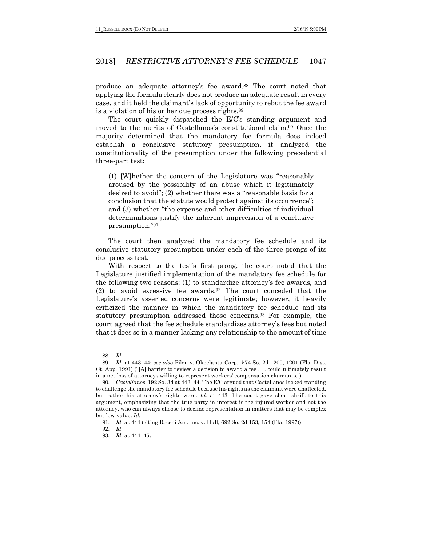produce an adequate attorney's fee award.88 The court noted that applying the formula clearly does not produce an adequate result in every case, and it held the claimant's lack of opportunity to rebut the fee award is a violation of his or her due process rights.89

The court quickly dispatched the E/C's standing argument and moved to the merits of Castellanos's constitutional claim.90 Once the majority determined that the mandatory fee formula does indeed establish a conclusive statutory presumption, it analyzed the constitutionality of the presumption under the following precedential three-part test:

(1) [W]hether the concern of the Legislature was "reasonably aroused by the possibility of an abuse which it legitimately desired to avoid"; (2) whether there was a "reasonable basis for a conclusion that the statute would protect against its occurrence"; and (3) whether "the expense and other difficulties of individual determinations justify the inherent imprecision of a conclusive presumption."91

The court then analyzed the mandatory fee schedule and its conclusive statutory presumption under each of the three prongs of its due process test.

With respect to the test's first prong, the court noted that the Legislature justified implementation of the mandatory fee schedule for the following two reasons: (1) to standardize attorney's fee awards, and (2) to avoid excessive fee awards.92 The court conceded that the Legislature's asserted concerns were legitimate; however, it heavily criticized the manner in which the mandatory fee schedule and its statutory presumption addressed those concerns.93 For example, the court agreed that the fee schedule standardizes attorney's fees but noted that it does so in a manner lacking any relationship to the amount of time

<sup>88.</sup> *Id.*

<sup>89.</sup> *Id.* at 443–44; *see also* Pilon v. Okeelanta Corp., 574 So. 2d 1200, 1201 (Fla. Dist. Ct. App. 1991) ("[A] barrier to review a decision to award a fee . . . could ultimately result in a net loss of attorneys willing to represent workers' compensation claimants.").

<sup>90.</sup> *Castellanos*, 192 So. 3d at 443–44. The E/C argued that Castellanos lacked standing to challenge the mandatory fee schedule because his rights as the claimant were unaffected, but rather his attorney's rights were. *Id.* at 443. The court gave short shrift to this argument, emphasizing that the true party in interest is the injured worker and not the attorney, who can always choose to decline representation in matters that may be complex but low-value. *Id.*

<sup>91.</sup> *Id.* at 444 (citing Recchi Am. Inc. v. Hall, 692 So. 2d 153, 154 (Fla. 1997)).

<sup>92.</sup> *Id.*

<sup>93.</sup> *Id.* at 444–45.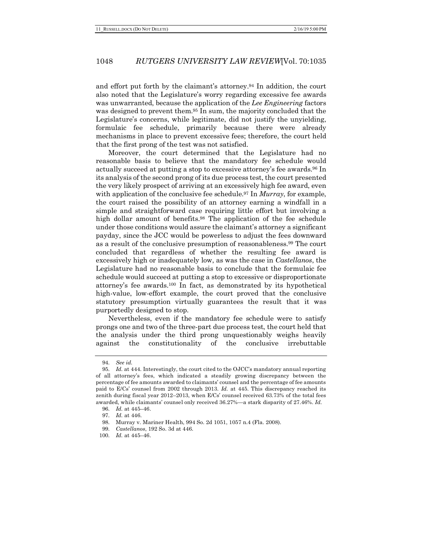and effort put forth by the claimant's attorney.94 In addition, the court also noted that the Legislature's worry regarding excessive fee awards was unwarranted, because the application of the *Lee Engineering* factors was designed to prevent them.95 In sum, the majority concluded that the Legislature's concerns, while legitimate, did not justify the unyielding, formulaic fee schedule, primarily because there were already mechanisms in place to prevent excessive fees; therefore, the court held that the first prong of the test was not satisfied.

Moreover, the court determined that the Legislature had no reasonable basis to believe that the mandatory fee schedule would actually succeed at putting a stop to excessive attorney's fee awards.96 In its analysis of the second prong of its due process test, the court presented the very likely prospect of arriving at an excessively high fee award, even with application of the conclusive fee schedule.97 In *Murray*, for example, the court raised the possibility of an attorney earning a windfall in a simple and straightforward case requiring little effort but involving a high dollar amount of benefits.<sup>98</sup> The application of the fee schedule under those conditions would assure the claimant's attorney a significant payday, since the JCC would be powerless to adjust the fees downward as a result of the conclusive presumption of reasonableness.99 The court concluded that regardless of whether the resulting fee award is excessively high or inadequately low, as was the case in *Castellanos*, the Legislature had no reasonable basis to conclude that the formulaic fee schedule would succeed at putting a stop to excessive or disproportionate attorney's fee awards.100 In fact, as demonstrated by its hypothetical high-value, low-effort example, the court proved that the conclusive statutory presumption virtually guarantees the result that it was purportedly designed to stop.

Nevertheless, even if the mandatory fee schedule were to satisfy prongs one and two of the three-part due process test, the court held that the analysis under the third prong unquestionably weighs heavily against the constitutionality of the conclusive irrebuttable

<sup>94.</sup> *See id.*

<sup>95.</sup> *Id.* at 444. Interestingly, the court cited to the OJCC's mandatory annual reporting of all attorney's fees, which indicated a steadily growing discrepancy between the percentage of fee amounts awarded to claimants' counsel and the percentage of fee amounts paid to E/Cs' counsel from 2002 through 2013. *Id.* at 445. This discrepancy reached its zenith during fiscal year 2012–2013, when E/Cs' counsel received 63.73% of the total fees awarded, while claimants' counsel only received 36.27%—a stark disparity of 27.46%. *Id.*

<sup>96.</sup> *Id.* at 445–46.

<sup>97.</sup> *Id.* at 446.

<sup>98.</sup> Murray v. Mariner Health, 994 So. 2d 1051, 1057 n.4 (Fla. 2008).

<sup>99.</sup> *Castellanos*, 192 So. 3d at 446.

<sup>100.</sup> *Id.* at 445–46.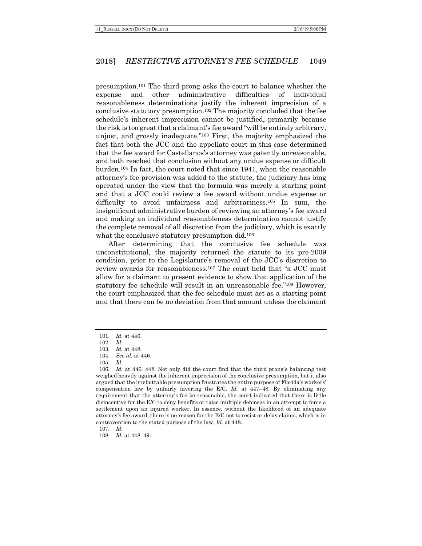presumption.101 The third prong asks the court to balance whether the expense and other administrative difficulties of individual reasonableness determinations justify the inherent imprecision of a conclusive statutory presumption.102 The majority concluded that the fee schedule's inherent imprecision cannot be justified, primarily because the risk is too great that a claimant's fee award "will be entirely arbitrary, unjust, and grossly inadequate."103 First, the majority emphasized the fact that both the JCC and the appellate court in this case determined that the fee award for Castellanos's attorney was patently unreasonable, and both reached that conclusion without any undue expense or difficult burden.104 In fact, the court noted that since 1941, when the reasonable attorney's fee provision was added to the statute, the judiciary has long operated under the view that the formula was merely a starting point and that a JCC could review a fee award without undue expense or difficulty to avoid unfairness and arbitrariness.105 In sum, the insignificant administrative burden of reviewing an attorney's fee award and making an individual reasonableness determination cannot justify the complete removal of all discretion from the judiciary, which is exactly what the conclusive statutory presumption did.<sup>106</sup>

After determining that the conclusive fee schedule was unconstitutional, the majority returned the statute to its pre-2009 condition, prior to the Legislature's removal of the JCC's discretion to review awards for reasonableness.107 The court held that "a JCC must allow for a claimant to present evidence to show that application of the statutory fee schedule will result in an unreasonable fee."108 However, the court emphasized that the fee schedule must act as a starting point and that there can be no deviation from that amount unless the claimant

107. *Id.*

108. *Id.* at 448–49.

<sup>101.</sup> *Id.* at 446.

<sup>102.</sup> *Id.*

<sup>103.</sup> *Id.* at 448.

<sup>104.</sup> *See id.* at 446.

<sup>105.</sup> *Id.*

<sup>106.</sup> *Id.* at 446, 448. Not only did the court find that the third prong's balancing test weighed heavily against the inherent imprecision of the conclusive presumption, but it also argued that the irrebuttable presumption frustrates the entire purpose of Florida's workers' compensation law by unfairly favoring the E/C. *Id.* at 447–48. By eliminating any requirement that the attorney's fee be reasonable, the court indicated that there is little disincentive for the E/C to deny benefits or raise multiple defenses in an attempt to force a settlement upon an injured worker. In essence, without the likelihood of an adequate attorney's fee award, there is no reason for the E/C not to resist or delay claims, which is in contravention to the stated purpose of the law. *Id.* at 448.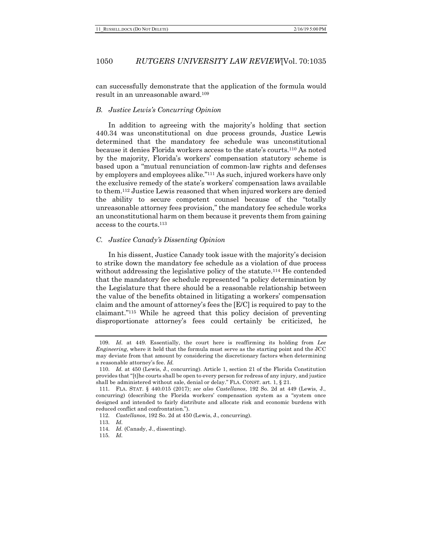can successfully demonstrate that the application of the formula would result in an unreasonable award.109

## *B. Justice Lewis's Concurring Opinion*

In addition to agreeing with the majority's holding that section 440.34 was unconstitutional on due process grounds, Justice Lewis determined that the mandatory fee schedule was unconstitutional because it denies Florida workers access to the state's courts.110 As noted by the majority, Florida's workers' compensation statutory scheme is based upon a "mutual renunciation of common-law rights and defenses by employers and employees alike."111 As such, injured workers have only the exclusive remedy of the state's workers' compensation laws available to them.112 Justice Lewis reasoned that when injured workers are denied the ability to secure competent counsel because of the "totally unreasonable attorney fees provision," the mandatory fee schedule works an unconstitutional harm on them because it prevents them from gaining access to the courts.113

#### *C. Justice Canady's Dissenting Opinion*

In his dissent, Justice Canady took issue with the majority's decision to strike down the mandatory fee schedule as a violation of due process without addressing the legislative policy of the statute.<sup>114</sup> He contended that the mandatory fee schedule represented "a policy determination by the Legislature that there should be a reasonable relationship between the value of the benefits obtained in litigating a workers' compensation claim and the amount of attorney's fees the [E/C] is required to pay to the claimant."115 While he agreed that this policy decision of preventing disproportionate attorney's fees could certainly be criticized, he

<sup>109.</sup> *Id.* at 449. Essentially, the court here is reaffirming its holding from *Lee Engineering*, where it held that the formula must serve as the starting point and the JCC may deviate from that amount by considering the discretionary factors when determining a reasonable attorney's fee. *Id.*

<sup>110.</sup> *Id.* at 450 (Lewis, J., concurring). Article 1, section 21 of the Florida Constitution provides that "[t]he courts shall be open to every person for redress of any injury, and justice shall be administered without sale, denial or delay." FLA. CONST. art. 1, § 21.

<sup>111.</sup> FLA. STAT. § 440.015 (2017); *see also Castellanos*, 192 So. 2d at 449 (Lewis, J., concurring) (describing the Florida workers' compensation system as a "system once designed and intended to fairly distribute and allocate risk and economic burdens with reduced conflict and confrontation.").

<sup>112.</sup> *Castellanos*, 192 So. 2d at 450 (Lewis, J., concurring).

<sup>113.</sup> *Id.*

<sup>114.</sup> *Id.* (Canady, J., dissenting).

<sup>115.</sup> *Id.*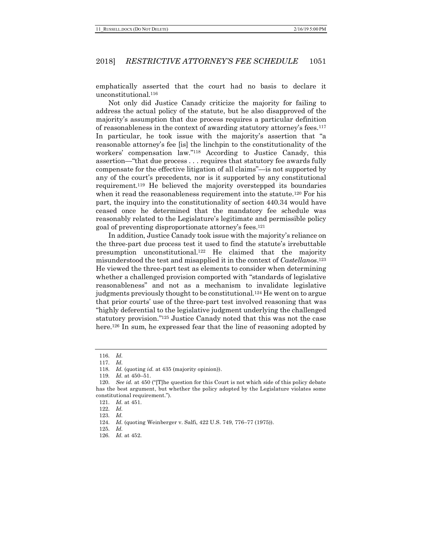emphatically asserted that the court had no basis to declare it unconstitutional.116

Not only did Justice Canady criticize the majority for failing to address the actual policy of the statute, but he also disapproved of the majority's assumption that due process requires a particular definition of reasonableness in the context of awarding statutory attorney's fees.117 In particular, he took issue with the majority's assertion that "a reasonable attorney's fee [is] the linchpin to the constitutionality of the workers' compensation law."118 According to Justice Canady, this assertion—"that due process . . . requires that statutory fee awards fully compensate for the effective litigation of all claims"—is not supported by any of the court's precedents, nor is it supported by any constitutional requirement.119 He believed the majority overstepped its boundaries when it read the reasonableness requirement into the statute.<sup>120</sup> For his part, the inquiry into the constitutionality of section 440.34 would have ceased once he determined that the mandatory fee schedule was reasonably related to the Legislature's legitimate and permissible policy goal of preventing disproportionate attorney's fees.121

In addition, Justice Canady took issue with the majority's reliance on the three-part due process test it used to find the statute's irrebuttable presumption unconstitutional.122 He claimed that the majority misunderstood the test and misapplied it in the context of *Castellanos*.123 He viewed the three-part test as elements to consider when determining whether a challenged provision comported with "standards of legislative reasonableness" and not as a mechanism to invalidate legislative judgments previously thought to be constitutional.124 He went on to argue that prior courts' use of the three-part test involved reasoning that was "highly deferential to the legislative judgment underlying the challenged statutory provision."125 Justice Canady noted that this was not the case here.<sup>126</sup> In sum, he expressed fear that the line of reasoning adopted by

<sup>116.</sup> *Id.*

<sup>117.</sup> *Id.*

<sup>118.</sup> *Id.* (quoting *id.* at 435 (majority opinion)).

<sup>119.</sup> *Id.* at 450–51.

<sup>120.</sup> *See id.* at 450 ("[T]he question for this Court is not which side of this policy debate has the best argument, but whether the policy adopted by the Legislature violates some constitutional requirement.").

<sup>121.</sup> *Id.* at 451.

<sup>122.</sup> *Id.*

<sup>123.</sup> *Id.*

<sup>124.</sup> *Id.* (quoting Weinberger v. Salfi, 422 U.S. 749, 776–77 (1975)).

<sup>125.</sup> *Id.*

<sup>126.</sup> *Id.* at 452.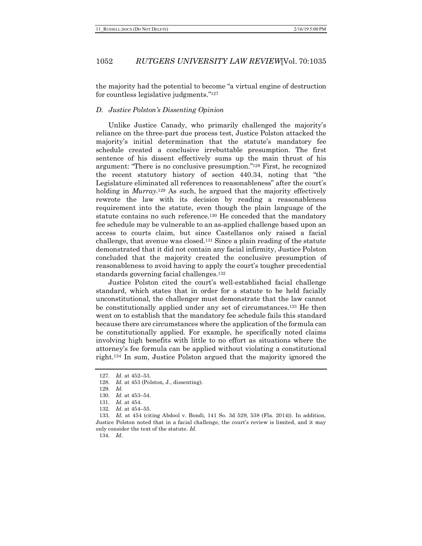the majority had the potential to become "a virtual engine of destruction for countless legislative judgments."127

### *D. Justice Polston's Dissenting Opinion*

Unlike Justice Canady, who primarily challenged the majority's reliance on the three-part due process test, Justice Polston attacked the majority's initial determination that the statute's mandatory fee schedule created a conclusive irrebuttable presumption. The first sentence of his dissent effectively sums up the main thrust of his argument: "There is no conclusive presumption."128 First, he recognized the recent statutory history of section 440.34, noting that "the Legislature eliminated all references to reasonableness" after the court's holding in *Murray*.129 As such, he argued that the majority effectively rewrote the law with its decision by reading a reasonableness requirement into the statute, even though the plain language of the statute contains no such reference.130 He conceded that the mandatory fee schedule may be vulnerable to an as-applied challenge based upon an access to courts claim, but since Castellanos only raised a facial challenge, that avenue was closed.131 Since a plain reading of the statute demonstrated that it did not contain any facial infirmity, Justice Polston concluded that the majority created the conclusive presumption of reasonableness to avoid having to apply the court's tougher precedential standards governing facial challenges.132

Justice Polston cited the court's well-established facial challenge standard, which states that in order for a statute to be held facially unconstitutional, the challenger must demonstrate that the law cannot be constitutionally applied under any set of circumstances.133 He then went on to establish that the mandatory fee schedule fails this standard because there are circumstances where the application of the formula can be constitutionally applied. For example, he specifically noted claims involving high benefits with little to no effort as situations where the attorney's fee formula can be applied without violating a constitutional right.134 In sum, Justice Polston argued that the majority ignored the

134. *Id.*

<sup>127.</sup> *Id.* at 452–53.

<sup>128.</sup> *Id.* at 453 (Polston, J., dissenting).

<sup>129.</sup> *Id.*

<sup>130.</sup> *Id.* at 453–54.

<sup>131.</sup> *Id.* at 454.

<sup>132.</sup> *Id.* at 454–55.

<sup>133.</sup> *Id.* at 454 (citing Abdool v. Bondi, 141 So. 3d 529, 538 (Fla. 2014)). In addition, Justice Polston noted that in a facial challenge, the court's review is limited, and it may only consider the text of the statute. *Id.*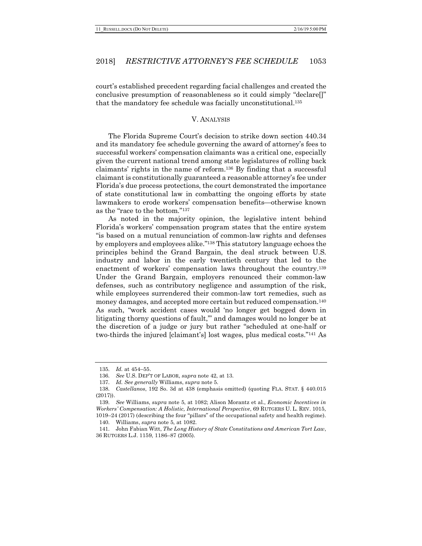court's established precedent regarding facial challenges and created the conclusive presumption of reasonableness so it could simply "declare[]" that the mandatory fee schedule was facially unconstitutional.135

#### V. ANALYSIS

The Florida Supreme Court's decision to strike down section 440.34 and its mandatory fee schedule governing the award of attorney's fees to successful workers' compensation claimants was a critical one, especially given the current national trend among state legislatures of rolling back claimants' rights in the name of reform.136 By finding that a successful claimant is constitutionally guaranteed a reasonable attorney's fee under Florida's due process protections, the court demonstrated the importance of state constitutional law in combatting the ongoing efforts by state lawmakers to erode workers' compensation benefits—otherwise known as the "race to the bottom."137

As noted in the majority opinion, the legislative intent behind Florida's workers' compensation program states that the entire system "is based on a mutual renunciation of common-law rights and defenses by employers and employees alike."138 This statutory language echoes the principles behind the Grand Bargain, the deal struck between U.S. industry and labor in the early twentieth century that led to the enactment of workers' compensation laws throughout the country.139 Under the Grand Bargain, employers renounced their common-law defenses, such as contributory negligence and assumption of the risk, while employees surrendered their common-law tort remedies, such as money damages, and accepted more certain but reduced compensation.140 As such, "work accident cases would 'no longer get bogged down in litigating thorny questions of fault,'" and damages would no longer be at the discretion of a judge or jury but rather "scheduled at one-half or two-thirds the injured [claimant's] lost wages, plus medical costs."141 As

<sup>135.</sup> *Id.* at 454–55.

<sup>136.</sup> *See* U.S. DEP'T OF LABOR, *supra* note 42, at 13.

<sup>137.</sup> *Id. See generally* Williams, *supra* note 5.

<sup>138.</sup> *Castellanos*, 192 So. 3d at 438 (emphasis omitted) (quoting FLA. STAT. § 440.015 (2017)).

<sup>139.</sup> *See* Williams, *supra* note 5, at 1082; Alison Morantz et al., *Economic Incentives in Workers' Compensation: A Holistic, International Perspective*, 69 RUTGERS U. L. REV. 1015, 1019–24 (2017) (describing the four "pillars" of the occupational safety and health regime). 140. Williams, *supra* note 5, at 1082.

<sup>141.</sup> John Fabian Witt, *The Long History of State Constitutions and American Tort Law*, 36 RUTGERS L.J. 1159, 1186–87 (2005).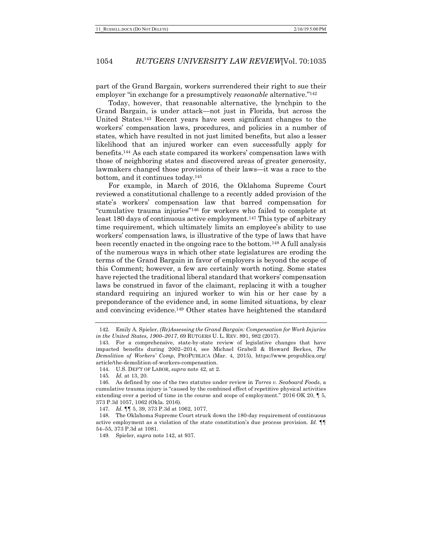part of the Grand Bargain, workers surrendered their right to sue their employer "in exchange for a presumptively *reasonable* alternative."142

Today, however, that reasonable alternative, the lynchpin to the Grand Bargain, is under attack—not just in Florida, but across the United States.143 Recent years have seen significant changes to the workers' compensation laws, procedures, and policies in a number of states, which have resulted in not just limited benefits, but also a lesser likelihood that an injured worker can even successfully apply for benefits.144 As each state compared its workers' compensation laws with those of neighboring states and discovered areas of greater generosity, lawmakers changed those provisions of their laws—it was a race to the bottom, and it continues today.145

For example, in March of 2016, the Oklahoma Supreme Court reviewed a constitutional challenge to a recently added provision of the state's workers' compensation law that barred compensation for "cumulative trauma injuries"146 for workers who failed to complete at least 180 days of continuous active employment.<sup>147</sup> This type of arbitrary time requirement, which ultimately limits an employee's ability to use workers' compensation laws, is illustrative of the type of laws that have been recently enacted in the ongoing race to the bottom.148 A full analysis of the numerous ways in which other state legislatures are eroding the terms of the Grand Bargain in favor of employers is beyond the scope of this Comment; however, a few are certainly worth noting. Some states have rejected the traditional liberal standard that workers' compensation laws be construed in favor of the claimant, replacing it with a tougher standard requiring an injured worker to win his or her case by a preponderance of the evidence and, in some limited situations, by clear and convincing evidence.149 Other states have heightened the standard

<sup>142.</sup> Emily A. Spieler, *(Re)Assessing the Grand Bargain: Compensation for Work Injuries in the United States, 1900–2017*, 69 RUTGERS U. L. REV. 891, 982 (2017).

<sup>143.</sup> For a comprehensive, state-by-state review of legislative changes that have impacted benefits during 2002–2014, see Michael Grabell & Howard Berkes, *The Demolition of Workers' Comp*, PROPUBLICA (Mar. 4, 2015), https://www.propublica.org/ article/the-demolition-of-workers-compensation.

<sup>144.</sup> U.S. DEP'T OF LABOR, *supra* note 42, at 2.

<sup>145.</sup> *Id.* at 13, 20.

<sup>146.</sup> As defined by one of the two statutes under review in *Torres v. Seaboard Foods*, a cumulative trauma injury is "caused by the combined effect of repetitive physical activities extending over a period of time in the course and scope of employment." 2016 OK 20, ¶ 5, 373 P.3d 1057, 1062 (Okla. 2016).

<sup>147.</sup> *Id.* ¶¶ 5, 39, 373 P.3d at 1062, 1077.

<sup>148.</sup> The Oklahoma Supreme Court struck down the 180-day requirement of continuous active employment as a violation of the state constitution's due process provision. *Id.* ¶¶ 54–55, 373 P.3d at 1081.

<sup>149.</sup> Spieler, *supra* note 142, at 937.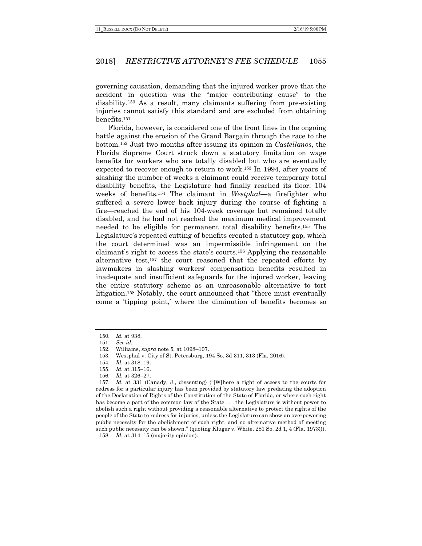governing causation, demanding that the injured worker prove that the accident in question was the "major contributing cause" to the disability.150 As a result, many claimants suffering from pre-existing injuries cannot satisfy this standard and are excluded from obtaining benefits.151

Florida, however, is considered one of the front lines in the ongoing battle against the erosion of the Grand Bargain through the race to the bottom.152 Just two months after issuing its opinion in *Castellanos*, the Florida Supreme Court struck down a statutory limitation on wage benefits for workers who are totally disabled but who are eventually expected to recover enough to return to work.153 In 1994, after years of slashing the number of weeks a claimant could receive temporary total disability benefits, the Legislature had finally reached its floor: 104 weeks of benefits.154 The claimant in *Westphal*—a firefighter who suffered a severe lower back injury during the course of fighting a fire—reached the end of his 104-week coverage but remained totally disabled, and he had not reached the maximum medical improvement needed to be eligible for permanent total disability benefits.155 The Legislature's repeated cutting of benefits created a statutory gap, which the court determined was an impermissible infringement on the claimant's right to access the state's courts.156 Applying the reasonable alternative test,157 the court reasoned that the repeated efforts by lawmakers in slashing workers' compensation benefits resulted in inadequate and insufficient safeguards for the injured worker, leaving the entire statutory scheme as an unreasonable alternative to tort litigation.158 Notably, the court announced that "there must eventually come a 'tipping point,' where the diminution of benefits becomes so

<sup>150.</sup> *Id.* at 938.

<sup>151.</sup> *See id.*

<sup>152.</sup> Williams, *supra* note 5, at 1098–107.

<sup>153.</sup> Westphal v. City of St. Petersburg, 194 So. 3d 311, 313 (Fla. 2016).

<sup>154.</sup> *Id.* at 318–19.

<sup>155.</sup> *Id.* at 315–16.

<sup>156.</sup> *Id.* at 326–27.

<sup>157.</sup> *Id.* at 331 (Canady, J., dissenting) ("[W]here a right of access to the courts for redress for a particular injury has been provided by statutory law predating the adoption of the Declaration of Rights of the Constitution of the State of Florida, or where such right has become a part of the common law of the State . . . the Legislature is without power to abolish such a right without providing a reasonable alternative to protect the rights of the people of the State to redress for injuries, unless the Legislature can show an overpowering public necessity for the abolishment of such right, and no alternative method of meeting such public necessity can be shown." (quoting Kluger v. White, 281 So. 2d 1, 4 (Fla. 1973))). 158. *Id.* at 314–15 (majority opinion).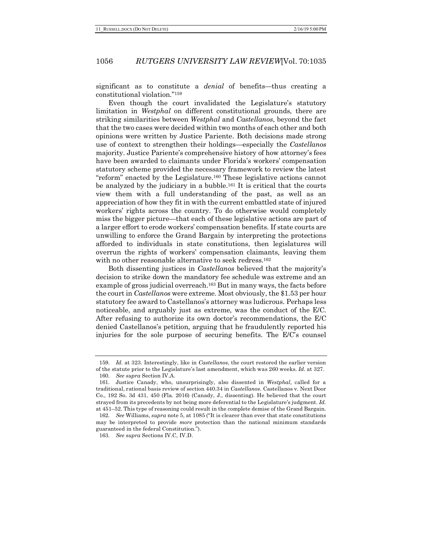significant as to constitute a *denial* of benefits—thus creating a constitutional violation."159

Even though the court invalidated the Legislature's statutory limitation in *Westphal* on different constitutional grounds, there are striking similarities between *Westphal* and *Castellanos*, beyond the fact that the two cases were decided within two months of each other and both opinions were written by Justice Pariente. Both decisions made strong use of context to strengthen their holdings—especially the *Castellanos* majority. Justice Pariente's comprehensive history of how attorney's fees have been awarded to claimants under Florida's workers' compensation statutory scheme provided the necessary framework to review the latest "reform" enacted by the Legislature.160 These legislative actions cannot be analyzed by the judiciary in a bubble.161 It is critical that the courts view them with a full understanding of the past, as well as an appreciation of how they fit in with the current embattled state of injured workers' rights across the country. To do otherwise would completely miss the bigger picture—that each of these legislative actions are part of a larger effort to erode workers' compensation benefits. If state courts are unwilling to enforce the Grand Bargain by interpreting the protections afforded to individuals in state constitutions, then legislatures will overrun the rights of workers' compensation claimants, leaving them with no other reasonable alternative to seek redress.<sup>162</sup>

Both dissenting justices in *Castellanos* believed that the majority's decision to strike down the mandatory fee schedule was extreme and an example of gross judicial overreach.163 But in many ways, the facts before the court in *Castellanos* were extreme. Most obviously, the \$1.53 per hour statutory fee award to Castellanos's attorney was ludicrous. Perhaps less noticeable, and arguably just as extreme, was the conduct of the E/C. After refusing to authorize its own doctor's recommendations, the E/C denied Castellanos's petition, arguing that he fraudulently reported his injuries for the sole purpose of securing benefits. The E/C's counsel

<sup>159.</sup> *Id.* at 323. Interestingly, like in *Castellanos*, the court restored the earlier version of the statute prior to the Legislature's last amendment, which was 260 weeks. *Id.* at 327. 160. *See supra* Section IV.A.

<sup>161.</sup> Justice Canady, who, unsurprisingly, also dissented in *Westphal*, called for a traditional, rational basis review of section 440.34 in *Castellanos*. Castellanos v. Next Door Co., 192 So. 3d 431, 450 (Fla. 2016) (Canady, J., dissenting). He believed that the court strayed from its precedents by not being more deferential to the Legislature's judgment. *Id.* at 451–52. This type of reasoning could result in the complete demise of the Grand Bargain.

<sup>162.</sup> *See* Williams, *supra* note 5, at 1085 ("It is clearer than ever that state constitutions may be interpreted to provide *more* protection than the national minimum standards guaranteed in the federal Constitution.").

<sup>163.</sup> *See supra* Sections IV.C, IV.D.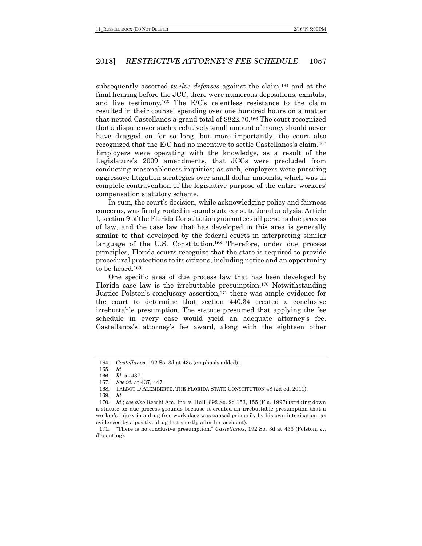subsequently asserted *twelve defenses* against the claim,164 and at the final hearing before the JCC, there were numerous depositions, exhibits, and live testimony.165 The E/C's relentless resistance to the claim resulted in their counsel spending over one hundred hours on a matter that netted Castellanos a grand total of \$822.70.166 The court recognized that a dispute over such a relatively small amount of money should never have dragged on for so long, but more importantly, the court also recognized that the E/C had no incentive to settle Castellanos's claim.167 Employers were operating with the knowledge, as a result of the Legislature's 2009 amendments, that JCCs were precluded from conducting reasonableness inquiries; as such, employers were pursuing aggressive litigation strategies over small dollar amounts, which was in complete contravention of the legislative purpose of the entire workers' compensation statutory scheme.

In sum, the court's decision, while acknowledging policy and fairness concerns, was firmly rooted in sound state constitutional analysis. Article I, section 9 of the Florida Constitution guarantees all persons due process of law, and the case law that has developed in this area is generally similar to that developed by the federal courts in interpreting similar language of the U.S. Constitution.168 Therefore, under due process principles, Florida courts recognize that the state is required to provide procedural protections to its citizens, including notice and an opportunity to be heard.169

One specific area of due process law that has been developed by Florida case law is the irrebuttable presumption.170 Notwithstanding Justice Polston's conclusory assertion,171 there was ample evidence for the court to determine that section 440.34 created a conclusive irrebuttable presumption. The statute presumed that applying the fee schedule in every case would yield an adequate attorney's fee. Castellanos's attorney's fee award, along with the eighteen other

<sup>164.</sup> *Castellanos*, 192 So. 3d at 435 (emphasis added).

<sup>165.</sup> *Id.*

<sup>166.</sup> *Id.* at 437.

<sup>167.</sup> *See id.* at 437, 447.

<sup>168.</sup> TALBOT D'ALEMBERTE, THE FLORIDA STATE CONSTITUTION 48 (2d ed. 2011).

<sup>169.</sup> *Id.*

<sup>170.</sup> *Id.*; *see also* Recchi Am. Inc. v. Hall, 692 So. 2d 153, 155 (Fla. 1997) (striking down a statute on due process grounds because it created an irrebuttable presumption that a worker's injury in a drug-free workplace was caused primarily by his own intoxication, as evidenced by a positive drug test shortly after his accident).

<sup>171.</sup> "There is no conclusive presumption." *Castellanos*, 192 So. 3d at 453 (Polston, J., dissenting).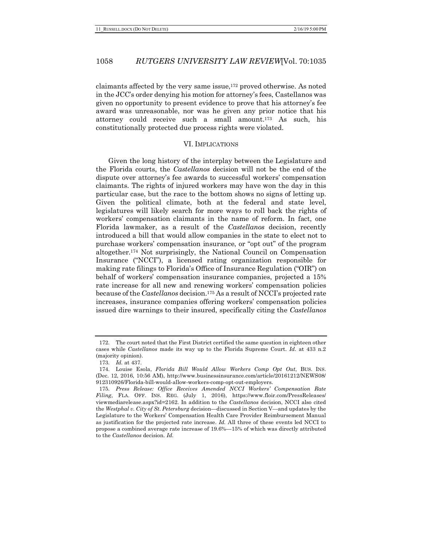claimants affected by the very same issue,172 proved otherwise. As noted in the JCC's order denying his motion for attorney's fees, Castellanos was given no opportunity to present evidence to prove that his attorney's fee award was unreasonable, nor was he given any prior notice that his attorney could receive such a small amount.173 As such, his constitutionally protected due process rights were violated.

#### VI. IMPLICATIONS

Given the long history of the interplay between the Legislature and the Florida courts, the *Castellanos* decision will not be the end of the dispute over attorney's fee awards to successful workers' compensation claimants. The rights of injured workers may have won the day in this particular case, but the race to the bottom shows no signs of letting up. Given the political climate, both at the federal and state level, legislatures will likely search for more ways to roll back the rights of workers' compensation claimants in the name of reform. In fact, one Florida lawmaker, as a result of the *Castellanos* decision, recently introduced a bill that would allow companies in the state to elect not to purchase workers' compensation insurance, or "opt out" of the program altogether.174 Not surprisingly, the National Council on Compensation Insurance ("NCCI"), a licensed rating organization responsible for making rate filings to Florida's Office of Insurance Regulation ("OIR") on behalf of workers' compensation insurance companies, projected a 15% rate increase for all new and renewing workers' compensation policies because of the *Castellanos* decision.175 As a result of NCCI's projected rate increases, insurance companies offering workers' compensation policies issued dire warnings to their insured, specifically citing the *Castellanos*

<sup>172.</sup> The court noted that the First District certified the same question in eighteen other cases while *Castellanos* made its way up to the Florida Supreme Court. *Id.* at 433 n.2 (majority opinion).

<sup>173.</sup> *Id.* at 437.

<sup>174.</sup> Louise Esola, *Florida Bill Would Allow Workers Comp Opt Out*, BUS. INS. (Dec. 12, 2016, 10:56 AM), http://www.businessinsurance.com/article/20161212/NEWS08/ 912310926/Florida-bill-would-allow-workers-comp-opt-out-employers.

<sup>175.</sup> *Press Release: Office Receives Amended NCCI Workers' Compensation Rate Filing*, FLA. OFF. INS. REG. (July 1, 2016), https://www.floir.com/PressReleases/ viewmediarelease.aspx?id=2162. In addition to the *Castellanos* decision, NCCI also cited the *Westphal v. City of St. Petersburg* decision—discussed in Section V—and updates by the Legislature to the Workers' Compensation Health Care Provider Reimbursement Manual as justification for the projected rate increase. *Id.* All three of these events led NCCI to propose a combined average rate increase of 19.6%—15% of which was directly attributed to the *Castellanos* decision. *Id.*